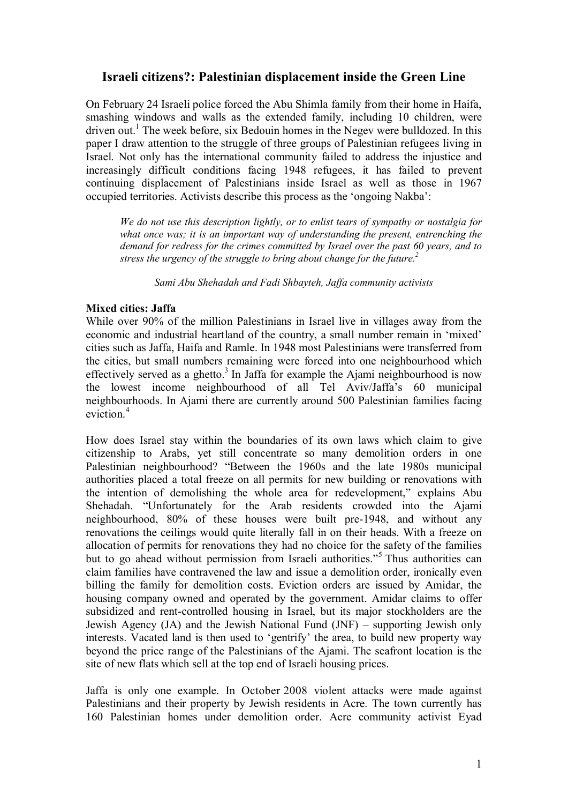# **Israeli citizens?: Palestinian displacement inside the Green Line**

On February 24 Israeli police forced the Abu Shimla family from their home in Haifa, smashing windows and walls as the extended family, including 10 children, were driven out.<sup>[1](#page-3-0)</sup> The week before, six Bedouin homes in the Negev were bulldozed. In this paper I draw attention to the struggle of three groups of Palestinian refugees living in Israel. Not only has the international community failed to address the injustice and increasingly difficult conditions facing 1948 refugees, it has failed to prevent continuing displacement of Palestinians inside Israel as well as those in 1967 occupied territories. Activists describe this process as the 'ongoing Nakba':

*We do not use this description lightly, or to enlist tears of sympathy or nostalgia for what once was; it is an important way of understanding the present, entrenching the demand for redress for the crimes committed by Israel over the past 60 years, and to stress the urgency of the struggle to bring about change for the future.[2](#page-3-1)*

*Sami Abu Shehadah and Fadi Shbayteh, Jaffa community activists*

## **Mixed cities: Jaffa**

While over 90% of the million Palestinians in Israel live in villages away from the economic and industrial heartland of the country, a small number remain in 'mixed' cities such as Jaffa, Haifa and Ramle. In 1948 most Palestinians were transferred from the cities, but small numbers remaining were forced into one neighbourhood which effectively served as a ghetto. $3$  In Jaffa for example the Ajami neighbourhood is now the lowest income neighbourhood of all Tel Aviv/Jaffa's 60 municipal neighbourhoods. In Ajami there are currently around 500 Palestinian families facing eviction.<sup>[4](#page-3-3)</sup>

How does Israel stay within the boundaries of its own laws which claim to give citizenship to Arabs, yet still concentrate so many demolition orders in one Palestinian neighbourhood? "Between the 1960s and the late 1980s municipal authorities placed a total freeze on all permits for new building or renovations with the intention of demolishing the whole area for redevelopment," explains Abu Shehadah. "Unfortunately for the Arab residents crowded into the Ajami neighbourhood, 80% of these houses were built pre-1948, and without any renovations the ceilings would quite literally fall in on their heads. With a freeze on allocation of permits for renovations they had no choice for the safety of the families but to go ahead without permission from Israeli authorities."<sup>[5](#page-3-4)</sup> Thus authorities can claim families have contravened the law and issue a demolition order, ironically even billing the family for demolition costs. Eviction orders are issued by Amidar, the housing company owned and operated by the government. Amidar claims to offer subsidized and rent-controlled housing in Israel, but its major stockholders are the Jewish Agency (JA) and the Jewish National Fund (JNF) – supporting Jewish only interests. Vacated land is then used to 'gentrify' the area, to build new property way beyond the price range of the Palestinians of the Ajami. The seafront location is the site of new flats which sell at the top end of Israeli housing prices.

Jaffa is only one example. In October 2008 violent attacks were made against Palestinians and their property by Jewish residents in Acre. The town currently has 160 Palestinian homes under demolition order. Acre community activist Eyad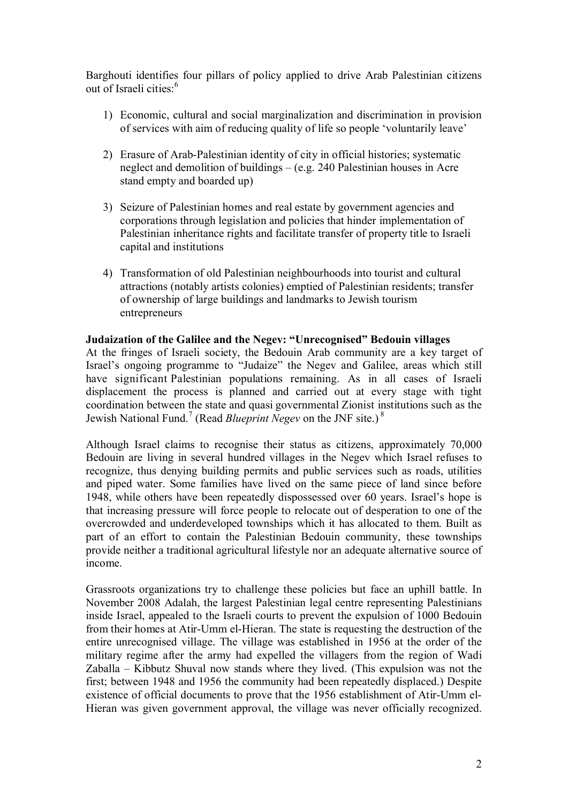Barghouti identifies four pillars of policy applied to drive Arab Palestinian citizens out of Israeli cities:<sup>[6](#page-3-5)</sup>

- 1) Economic, cultural and social marginalization and discrimination in provision of services with aim of reducing quality of life so people 'voluntarily leave'
- 2) Erasure of Arab-Palestinian identity of city in official histories; systematic neglect and demolition of buildings – (e.g. 240 Palestinian houses in Acre stand empty and boarded up)
- 3) Seizure of Palestinian homes and real estate by government agencies and corporations through legislation and policies that hinder implementation of Palestinian inheritance rights and facilitate transfer of property title to Israeli capital and institutions
- 4) Transformation of old Palestinian neighbourhoods into tourist and cultural attractions (notably artists colonies) emptied of Palestinian residents; transfer of ownership of large buildings and landmarks to Jewish tourism entrepreneurs

### **Judaization of the Galilee and the Negev: "Unrecognised" Bedouin villages**

At the fringes of Israeli society, the Bedouin Arab community are a key target of Israel's ongoing programme to "Judaize" the Negev and Galilee, areas which still have significant Palestinian populations remaining. As in all cases of Israeli displacement the process is planned and carried out at every stage with tight coordination between the state and quasi governmental Zionist institutions such as the Jewish National Fund.<sup>[7](#page-3-6)</sup> (Read *Blueprint Negev* on the JNF site.)<sup>[8](#page-3-7)</sup>

Although Israel claims to recognise their status as citizens, approximately 70,000 Bedouin are living in several hundred villages in the Negev which Israel refuses to recognize, thus denying building permits and public services such as roads, utilities and piped water. Some families have lived on the same piece of land since before 1948, while others have been repeatedly dispossessed over 60 years. Israel's hope is that increasing pressure will force people to relocate out of desperation to one of the overcrowded and underdeveloped townships which it has allocated to them. Built as part of an effort to contain the Palestinian Bedouin community, these townships provide neither a traditional agricultural lifestyle nor an adequate alternative source of income.

Grassroots organizations try to challenge these policies but face an uphill battle. In November 2008 Adalah, the largest Palestinian legal centre representing Palestinians inside Israel, appealed to the Israeli courts to prevent the expulsion of 1000 Bedouin from their homes at Atir-Umm el-Hieran. The state is requesting the destruction of the entire unrecognised village. The village was established in 1956 at the order of the military regime after the army had expelled the villagers from the region of Wadi Zaballa – Kibbutz Shuval now stands where they lived. (This expulsion was not the first; between 1948 and 1956 the community had been repeatedly displaced.) Despite existence of official documents to prove that the 1956 establishment of Atir-Umm el-Hieran was given government approval, the village was never officially recognized.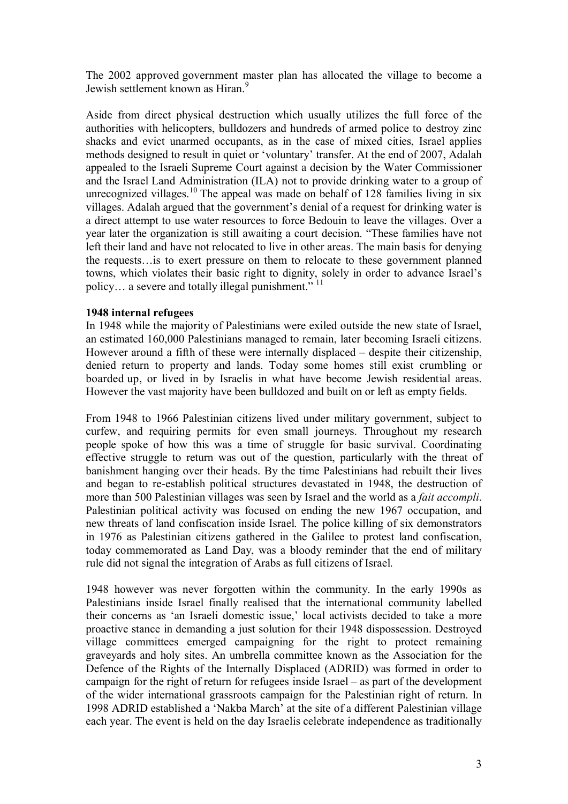The 2002 approved government master plan has allocated the village to become a Jewish settlement known as Hiran.<sup>[9](#page-3-8)</sup>

Aside from direct physical destruction which usually utilizes the full force of the authorities with helicopters, bulldozers and hundreds of armed police to destroy zinc shacks and evict unarmed occupants, as in the case of mixed cities, Israel applies methods designed to result in quiet or 'voluntary' transfer. At the end of 2007, Adalah appealed to the Israeli Supreme Court against a decision by the Water Commissioner and the Israel Land Administration (ILA) not to provide drinking water to a group of unrecognized villages.<sup>[10](#page-3-9)</sup> The appeal was made on behalf of 128 families living in six villages. Adalah argued that the government's denial of a request for drinking water is a direct attempt to use water resources to force Bedouin to leave the villages. Over a year later the organization is still awaiting a court decision. "These families have not left their land and have not relocated to live in other areas. The main basis for denying the requests…is to exert pressure on them to relocate to these government planned towns, which violates their basic right to dignity, solely in order to advance Israel's policy... a severe and totally illegal punishment."<sup>[11](#page-3-10)</sup>

### **1948 internal refugees**

In 1948 while the majority of Palestinians were exiled outside the new state of Israel, an estimated 160,000 Palestinians managed to remain, later becoming Israeli citizens. However around a fifth of these were internally displaced – despite their citizenship, denied return to property and lands. Today some homes still exist crumbling or boarded up, or lived in by Israelis in what have become Jewish residential areas. However the vast majority have been bulldozed and built on or left as empty fields.

From 1948 to 1966 Palestinian citizens lived under military government, subject to curfew, and requiring permits for even small journeys. Throughout my research people spoke of how this was a time of struggle for basic survival. Coordinating effective struggle to return was out of the question, particularly with the threat of banishment hanging over their heads. By the time Palestinians had rebuilt their lives and began to re-establish political structures devastated in 1948, the destruction of more than 500 Palestinian villages was seen by Israel and the world as a *fait accompli*. Palestinian political activity was focused on ending the new 1967 occupation, and new threats of land confiscation inside Israel. The police killing of six demonstrators in 1976 as Palestinian citizens gathered in the Galilee to protest land confiscation, today commemorated as Land Day, was a bloody reminder that the end of military rule did not signal the integration of Arabs as full citizens of Israel.

1948 however was never forgotten within the community. In the early 1990s as Palestinians inside Israel finally realised that the international community labelled their concerns as 'an Israeli domestic issue,' local activists decided to take a more proactive stance in demanding a just solution for their 1948 dispossession. Destroyed village committees emerged campaigning for the right to protect remaining graveyards and holy sites. An umbrella committee known as the Association for the Defence of the Rights of the Internally Displaced (ADRID) was formed in order to campaign for the right of return for refugees inside Israel – as part of the development of the wider international grassroots campaign for the Palestinian right of return. In 1998 ADRID established a 'Nakba March' at the site of a different Palestinian village each year. The event is held on the day Israelis celebrate independence as traditionally